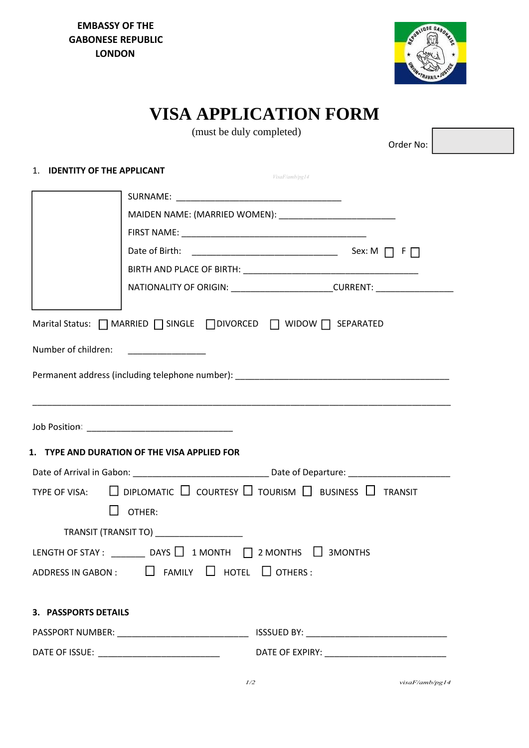**EMBASSY OF THE GABONESE REPUBLIC LONDON**



# **VISA APPLICATION FORM**

|                                                                                                                                                                                                                                                                                                                                                                                                                                                                                                                                                                                                                                       | (must be duly completed) |                                                                                  |
|---------------------------------------------------------------------------------------------------------------------------------------------------------------------------------------------------------------------------------------------------------------------------------------------------------------------------------------------------------------------------------------------------------------------------------------------------------------------------------------------------------------------------------------------------------------------------------------------------------------------------------------|--------------------------|----------------------------------------------------------------------------------|
|                                                                                                                                                                                                                                                                                                                                                                                                                                                                                                                                                                                                                                       |                          | Order No:                                                                        |
| 1. IDENTITY OF THE APPLICANT                                                                                                                                                                                                                                                                                                                                                                                                                                                                                                                                                                                                          |                          |                                                                                  |
|                                                                                                                                                                                                                                                                                                                                                                                                                                                                                                                                                                                                                                       | VisaF/amb/pg14           |                                                                                  |
|                                                                                                                                                                                                                                                                                                                                                                                                                                                                                                                                                                                                                                       |                          |                                                                                  |
|                                                                                                                                                                                                                                                                                                                                                                                                                                                                                                                                                                                                                                       |                          |                                                                                  |
|                                                                                                                                                                                                                                                                                                                                                                                                                                                                                                                                                                                                                                       |                          |                                                                                  |
|                                                                                                                                                                                                                                                                                                                                                                                                                                                                                                                                                                                                                                       |                          |                                                                                  |
|                                                                                                                                                                                                                                                                                                                                                                                                                                                                                                                                                                                                                                       |                          |                                                                                  |
|                                                                                                                                                                                                                                                                                                                                                                                                                                                                                                                                                                                                                                       |                          | NATIONALITY OF ORIGIN: ________________________CURRENT: ________________________ |
| Marital Status:   MARRIED   SINGLE   DIVORCED   WIDOW   SEPARATED<br>Number of children:<br>$\begin{tabular}{ccccc} \multicolumn{2}{c }{\textbf{1} & \multicolumn{2}{c }{\textbf{2} & \multicolumn{2}{c }{\textbf{3} & \multicolumn{2}{c }{\textbf{4} & \multicolumn{2}{c }{\textbf{5} & \multicolumn{2}{c }{\textbf{6} & \multicolumn{2}{c }{\textbf{6} & \multicolumn{2}{c }{\textbf{6} & \multicolumn{2}{c }{\textbf{6} & \multicolumn{2}{c }{\textbf{6} & \multicolumn{2}{c }{\textbf{6} & \multicolumn{2}{c }{\textbf{6} & \multicolumn{2}{$<br>Permanent address (including telephone number): ________________________________ |                          |                                                                                  |
| 1. TYPE AND DURATION OF THE VISA APPLIED FOR                                                                                                                                                                                                                                                                                                                                                                                                                                                                                                                                                                                          |                          |                                                                                  |
| $\Box$ diplomatic $\Box$ courtesy $\Box$ tourism $\Box$ business $\Box$ transit<br>TYPE OF VISA:<br>OTHER:                                                                                                                                                                                                                                                                                                                                                                                                                                                                                                                            |                          |                                                                                  |
| TRANSIT (TRANSIT TO) ____________________                                                                                                                                                                                                                                                                                                                                                                                                                                                                                                                                                                                             |                          |                                                                                  |
| LENGTH OF STAY: $\Box$ DAYS $\Box$ 1 MONTH $\Box$ 2 MONTHS $\Box$ 3 MONTHS                                                                                                                                                                                                                                                                                                                                                                                                                                                                                                                                                            |                          |                                                                                  |
| ADDRESS IN GABON : $\Box$ FAMILY $\Box$ HOTEL $\Box$ OTHERS :                                                                                                                                                                                                                                                                                                                                                                                                                                                                                                                                                                         |                          |                                                                                  |
|                                                                                                                                                                                                                                                                                                                                                                                                                                                                                                                                                                                                                                       |                          |                                                                                  |
| <b>3. PASSPORTS DETAILS</b>                                                                                                                                                                                                                                                                                                                                                                                                                                                                                                                                                                                                           |                          |                                                                                  |
|                                                                                                                                                                                                                                                                                                                                                                                                                                                                                                                                                                                                                                       |                          |                                                                                  |
|                                                                                                                                                                                                                                                                                                                                                                                                                                                                                                                                                                                                                                       |                          |                                                                                  |
|                                                                                                                                                                                                                                                                                                                                                                                                                                                                                                                                                                                                                                       |                          |                                                                                  |

 *1/2 visaF/amb/pg14*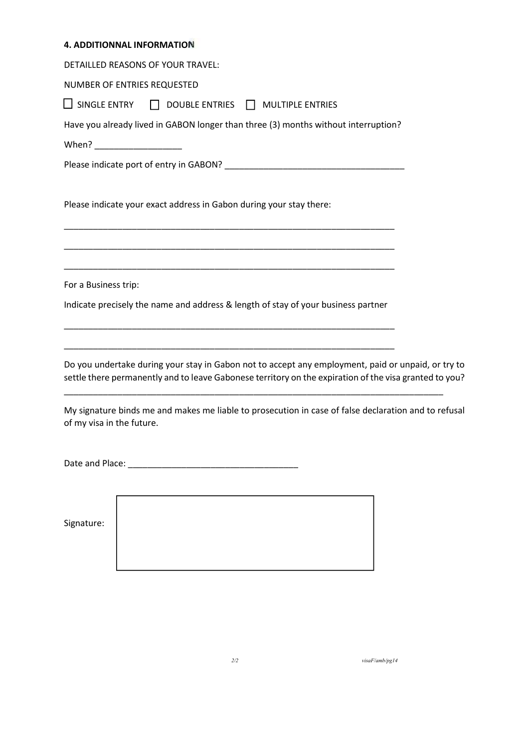| <b>4. ADDITIONNAL INFORMATION</b>                                                                                                                                                                            |
|--------------------------------------------------------------------------------------------------------------------------------------------------------------------------------------------------------------|
| DETAILLED REASONS OF YOUR TRAVEL:                                                                                                                                                                            |
| NUMBER OF ENTRIES REQUESTED                                                                                                                                                                                  |
| $\Box$ SINGLE ENTRY<br>$\Box$ DOUBLE ENTRIES $\Box$ MULTIPLE ENTRIES                                                                                                                                         |
| Have you already lived in GABON longer than three (3) months without interruption?                                                                                                                           |
|                                                                                                                                                                                                              |
|                                                                                                                                                                                                              |
|                                                                                                                                                                                                              |
| Please indicate your exact address in Gabon during your stay there:                                                                                                                                          |
|                                                                                                                                                                                                              |
|                                                                                                                                                                                                              |
|                                                                                                                                                                                                              |
| For a Business trip:                                                                                                                                                                                         |
| Indicate precisely the name and address & length of stay of your business partner                                                                                                                            |
|                                                                                                                                                                                                              |
|                                                                                                                                                                                                              |
| Do you undertake during your stay in Gabon not to accept any employment, paid or unpaid, or try to<br>settle there permanently and to leave Gabonese territory on the expiration of the visa granted to you? |
| My signature binds me and makes me liable to prosecution in case of false declaration and to refusal<br>of my visa in the future.                                                                            |
|                                                                                                                                                                                                              |
|                                                                                                                                                                                                              |
|                                                                                                                                                                                                              |
|                                                                                                                                                                                                              |
| Signature:                                                                                                                                                                                                   |

*2/2 visaF/amb/pg14*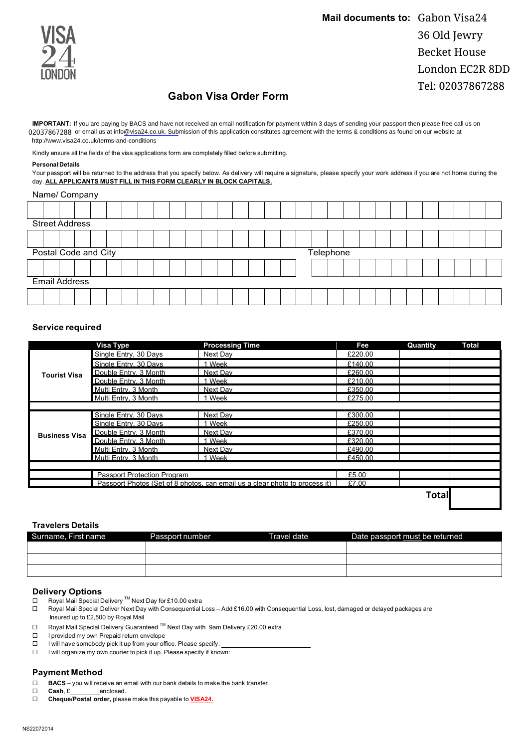

### **Gabon Visa Order Form**

IMPORTANT: If you are paying by BACS and have not received an email notification for payment within 3 days of sending your passport then please free call us on 02037867288 or email us at info@visa24.co.uk. Submission of this application constitutes agreement with the terms & conditions as found on our website at http://www.visa24.co.uk/terms-and-conditions

Kindly ensure all the fields of the visa applications form are completely filled before submitting.

#### **PersonalDetails**

Your passport will be returned to the address that you specify below. As delivery will require a signature, please specify your work address if you are not home during the day. **ALL APPLICANTS MUST FILL IN THIS FORM CLEARLY IN BLOCK CAPITALS.**

|                      | Name/ Company         |  |  |  |  |  |  |  |           |  |  |  |  |  |  |  |  |  |  |  |  |  |  |  |
|----------------------|-----------------------|--|--|--|--|--|--|--|-----------|--|--|--|--|--|--|--|--|--|--|--|--|--|--|--|
|                      |                       |  |  |  |  |  |  |  |           |  |  |  |  |  |  |  |  |  |  |  |  |  |  |  |
|                      | <b>Street Address</b> |  |  |  |  |  |  |  |           |  |  |  |  |  |  |  |  |  |  |  |  |  |  |  |
|                      |                       |  |  |  |  |  |  |  |           |  |  |  |  |  |  |  |  |  |  |  |  |  |  |  |
| Postal Code and City |                       |  |  |  |  |  |  |  | Telephone |  |  |  |  |  |  |  |  |  |  |  |  |  |  |  |
|                      |                       |  |  |  |  |  |  |  |           |  |  |  |  |  |  |  |  |  |  |  |  |  |  |  |
|                      | <b>Email Address</b>  |  |  |  |  |  |  |  |           |  |  |  |  |  |  |  |  |  |  |  |  |  |  |  |
|                      |                       |  |  |  |  |  |  |  |           |  |  |  |  |  |  |  |  |  |  |  |  |  |  |  |

#### **Service required**

|                      | Visa Type                          | <b>Processing Time</b>                                                      | Fee     | Quantity | Total |
|----------------------|------------------------------------|-----------------------------------------------------------------------------|---------|----------|-------|
|                      | Single Entry, 30 Days              | Next Day                                                                    | £220.00 |          |       |
|                      | Single Entry, 30 Days              | Week                                                                        | £140.00 |          |       |
| <b>Tourist Visa</b>  | Double Entry, 3 Month              | Next Dav                                                                    | £260.00 |          |       |
|                      | Double Entry, 3 Month              | Week                                                                        | £210.00 |          |       |
|                      | Multi Entry, 3 Month               | Next Dav                                                                    | £350.00 |          |       |
|                      | Multi Entry, 3 Month               | 1 Week                                                                      | £275.00 |          |       |
|                      |                                    |                                                                             |         |          |       |
|                      | Single Entry, 30 Days              | Next Dav                                                                    | £300.00 |          |       |
|                      | Single Entry, 30 Days              | Week                                                                        | £250.00 |          |       |
| <b>Business Visa</b> | Double Entry, 3 Month              | Next Dav                                                                    | £370.00 |          |       |
|                      | Double Entry, 3 Month              | Week                                                                        | £320.00 |          |       |
|                      | Multi Entry, 3 Month               | Next Dav                                                                    | £490.00 |          |       |
|                      | Multi Entry, 3 Month               | 1 Week                                                                      | £450.00 |          |       |
|                      |                                    |                                                                             |         |          |       |
|                      | <b>Passport Protection Program</b> |                                                                             | £5.00   |          |       |
|                      |                                    | Passport Photos (Set of 8 photos, can email us a clear photo to process it) | £7.00   |          |       |
|                      |                                    |                                                                             |         | Total    |       |

#### **Travelers Details**

| Surname, First name | Passport number | Travel date | Date passport must be returned |  |  |  |  |
|---------------------|-----------------|-------------|--------------------------------|--|--|--|--|
|                     |                 |             |                                |  |  |  |  |
|                     |                 |             |                                |  |  |  |  |
|                     |                 |             |                                |  |  |  |  |

## **Delivery Options**<br>□ Roval Mail Special D

- $□$  Royal Mail Special Delivery ™ Next Day for £10.00 extra<br>  $□$  Royal Mail Special Deliver Next Day with Consequential I
- Royal Mail Special Deliver Next Day with Consequential Loss Add £16.00 with Consequential Loss, lost, damaged or delayed packages are Insured up to £2,500 by Royal Mail
- ¨ Royal Mail Special Delivery Guaranteed TM Next Day with 9am Delivery £20.00 extra
- □ I provided my own Prepaid return envelope
- $\square$  I will have somebody pick it up from your office. Please specify:
- $\square$  I will organize my own courier to pick it up. Please specify if known:

#### **Payment Method**

- □ **BACS** you will receive an email with our bank details to make the bank transfer.
- □ **Cash**, £ enclosed.
- □ **Cheque/Postal order,** please make this payable to **VISA24.**